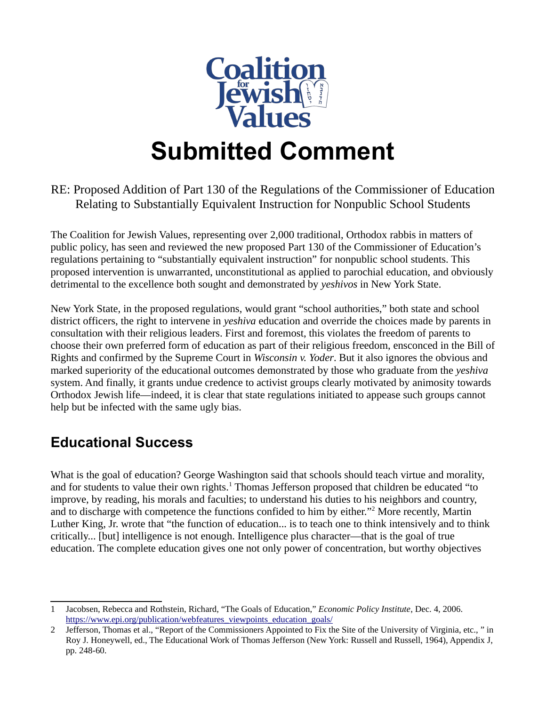

# **Submitted Comment**

#### RE: Proposed Addition of Part 130 of the Regulations of the Commissioner of Education Relating to Substantially Equivalent Instruction for Nonpublic School Students

The Coalition for Jewish Values, representing over 2,000 traditional, Orthodox rabbis in matters of public policy, has seen and reviewed the new proposed Part 130 of the Commissioner of Education's regulations pertaining to "substantially equivalent instruction" for nonpublic school students. This proposed intervention is unwarranted, unconstitutional as applied to parochial education, and obviously detrimental to the excellence both sought and demonstrated by *yeshivos* in New York State.

New York State, in the proposed regulations, would grant "school authorities," both state and school district officers, the right to intervene in *yeshiva* education and override the choices made by parents in consultation with their religious leaders. First and foremost, this violates the freedom of parents to choose their own preferred form of education as part of their religious freedom, ensconced in the Bill of Rights and confirmed by the Supreme Court in *Wisconsin v. Yoder*. But it also ignores the obvious and marked superiority of the educational outcomes demonstrated by those who graduate from the *yeshiva* system. And finally, it grants undue credence to activist groups clearly motivated by animosity towards Orthodox Jewish life—indeed, it is clear that state regulations initiated to appease such groups cannot help but be infected with the same ugly bias.

### **Educational Success**

What is the goal of education? George Washington said that schools should teach virtue and morality, and for students to value their own rights.<sup>[1](#page-0-0)</sup> Thomas Jefferson proposed that children be educated "to improve, by reading, his morals and faculties; to understand his duties to his neighbors and country, and to discharge with competence the functions confided to him by either."<sup>[2](#page-0-1)</sup> More recently, Martin Luther King, Jr. wrote that "the function of education... is to teach one to think intensively and to think critically... [but] intelligence is not enough. Intelligence plus character—that is the goal of true education. The complete education gives one not only power of concentration, but worthy objectives

<span id="page-0-0"></span><sup>1</sup> Jacobsen, Rebecca and Rothstein, Richard, "The Goals of Education," *Economic Policy Institute*, Dec. 4, 2006. [https://www.epi.org/publication/webfeatures\\_viewpoints\\_education\\_goals/](https://www.epi.org/publication/webfeatures_viewpoints_education_goals/)

<span id="page-0-1"></span><sup>2</sup> Jefferson, Thomas et al., "Report of the Commissioners Appointed to Fix the Site of the University of Virginia, etc., " in Roy J. Honeywell, ed., The Educational Work of Thomas Jefferson (New York: Russell and Russell, 1964), Appendix J, pp. 248-60.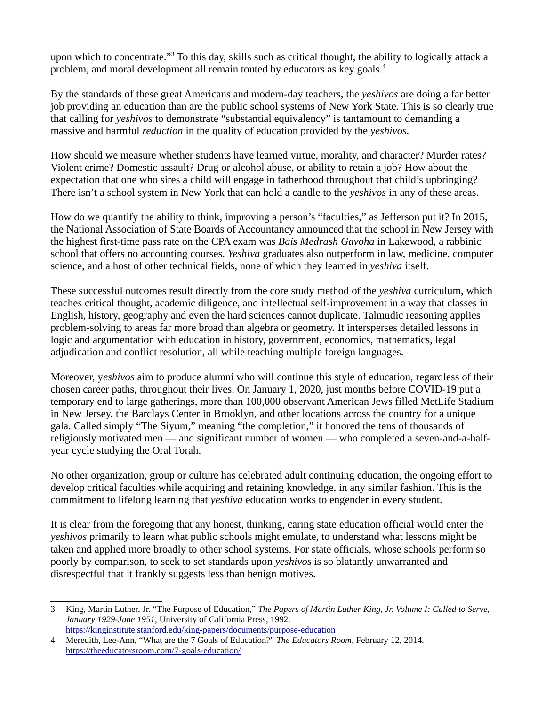upon which to concentrate."<sup>[3](#page-1-0)</sup> To this day, skills such as critical thought, the ability to logically attack a problem, and moral development all remain touted by educators as key goals.<sup>[4](#page-1-1)</sup>

By the standards of these great Americans and modern-day teachers, the *yeshivos* are doing a far better job providing an education than are the public school systems of New York State. This is so clearly true that calling for *yeshivos* to demonstrate "substantial equivalency" is tantamount to demanding a massive and harmful *reduction* in the quality of education provided by the *yeshivos.*

How should we measure whether students have learned virtue, morality, and character? Murder rates? Violent crime? Domestic assault? Drug or alcohol abuse, or ability to retain a job? How about the expectation that one who sires a child will engage in fatherhood throughout that child's upbringing? There isn't a school system in New York that can hold a candle to the *yeshivos* in any of these areas.

How do we quantify the ability to think, improving a person's "faculties," as Jefferson put it? In 2015, the National Association of State Boards of Accountancy announced that the school in New Jersey with the highest first-time pass rate on the CPA exam was *Bais Medrash Gavoha* in Lakewood, a rabbinic school that offers no accounting courses. *Yeshiva* graduates also outperform in law, medicine, computer science, and a host of other technical fields, none of which they learned in *yeshiva* itself.

These successful outcomes result directly from the core study method of the *yeshiva* curriculum, which teaches critical thought, academic diligence, and intellectual self-improvement in a way that classes in English, history, geography and even the hard sciences cannot duplicate. Talmudic reasoning applies problem-solving to areas far more broad than algebra or geometry. It intersperses detailed lessons in logic and argumentation with education in history, government, economics, mathematics, legal adjudication and conflict resolution, all while teaching multiple foreign languages.

Moreover, y*eshivos* aim to produce alumni who will continue this style of education, regardless of their chosen career paths, throughout their lives. On January 1, 2020, just months before COVID-19 put a temporary end to large gatherings, more than 100,000 observant American Jews filled MetLife Stadium in New Jersey, the Barclays Center in Brooklyn, and other locations across the country for a unique gala. Called simply "The Siyum," meaning "the completion," it honored the tens of thousands of religiously motivated men — and significant number of women — who completed a seven-and-a-halfyear cycle studying the Oral Torah.

No other organization, group or culture has celebrated adult continuing education, the ongoing effort to develop critical faculties while acquiring and retaining knowledge, in any similar fashion. This is the commitment to lifelong learning that *yeshiva* education works to engender in every student.

It is clear from the foregoing that any honest, thinking, caring state education official would enter the *yeshivos* primarily to learn what public schools might emulate, to understand what lessons might be taken and applied more broadly to other school systems. For state officials, whose schools perform so poorly by comparison, to seek to set standards upon *yeshivos* is so blatantly unwarranted and disrespectful that it frankly suggests less than benign motives.

<span id="page-1-0"></span><sup>3</sup> King, Martin Luther, Jr. "The Purpose of Education," *The Papers of Martin Luther King, Jr. Volume I: Called to Serve, January 1929-June 1951,* University of California Press, 1992. <https://kinginstitute.stanford.edu/king-papers/documents/purpose-education>

<span id="page-1-1"></span><sup>4</sup> Meredith, Lee-Ann, "What are the 7 Goals of Education?" *The Educators Room,* February 12, 2014. <https://theeducatorsroom.com/7-goals-education/>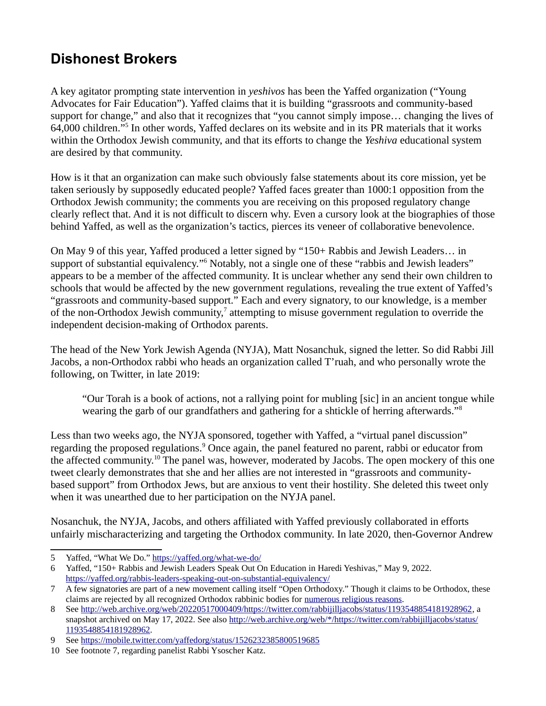### **Dishonest Brokers**

A key agitator prompting state intervention in *yeshivos* has been the Yaffed organization ("Young Advocates for Fair Education"). Yaffed claims that it is building "grassroots and community-based support for change," and also that it recognizes that "you cannot simply impose… changing the lives of 64,000 children."<sup>[5](#page-2-0)</sup> In other words, Yaffed declares on its website and in its PR materials that it works within the Orthodox Jewish community, and that its efforts to change the *Yeshiva* educational system are desired by that community.

How is it that an organization can make such obviously false statements about its core mission, yet be taken seriously by supposedly educated people? Yaffed faces greater than 1000:1 opposition from the Orthodox Jewish community; the comments you are receiving on this proposed regulatory change clearly reflect that. And it is not difficult to discern why. Even a cursory look at the biographies of those behind Yaffed, as well as the organization's tactics, pierces its veneer of collaborative benevolence.

On May 9 of this year, Yaffed produced a letter signed by "150+ Rabbis and Jewish Leaders… in support of substantial equivalency."<sup>[6](#page-2-1)</sup> Notably, not a single one of these "rabbis and Jewish leaders" appears to be a member of the affected community. It is unclear whether any send their own children to schools that would be affected by the new government regulations, revealing the true extent of Yaffed's "grassroots and community-based support." Each and every signatory, to our knowledge, is a member of the non-Orthodox Jewish community, $^7$  $^7$  attempting to misuse government regulation to override the independent decision-making of Orthodox parents.

The head of the New York Jewish Agenda (NYJA), Matt Nosanchuk, signed the letter. So did Rabbi Jill Jacobs, a non-Orthodox rabbi who heads an organization called T'ruah, and who personally wrote the following, on Twitter, in late 2019:

"Our Torah is a book of actions, not a rallying point for mubling [sic] in an ancient tongue while wearing the garb of our grandfathers and gathering for a shtickle of herring afterwards."[8](#page-2-3)

Less than two weeks ago, the NYJA sponsored, together with Yaffed, a "virtual panel discussion" regarding the proposed regulations.<sup>[9](#page-2-4)</sup> Once again, the panel featured no parent, rabbi or educator from the affected community.<sup>[10](#page-2-5)</sup> The panel was, however, moderated by Jacobs. The open mockery of this one tweet clearly demonstrates that she and her allies are not interested in "grassroots and communitybased support" from Orthodox Jews, but are anxious to vent their hostility. She deleted this tweet only when it was unearthed due to her participation on the NYJA panel.

Nosanchuk, the NYJA, Jacobs, and others affiliated with Yaffed previously collaborated in efforts unfairly mischaracterizing and targeting the Orthodox community. In late 2020, then-Governor Andrew

<span id="page-2-0"></span><sup>5</sup> Yaffed, "What We Do."<https://yaffed.org/what-we-do/>

<span id="page-2-1"></span><sup>6</sup> Yaffed, "150+ Rabbis and Jewish Leaders Speak Out On Education in Haredi Yeshivas," May 9, 2022. <https://yaffed.org/rabbis-leaders-speaking-out-on-substantial-equivalency/>

<span id="page-2-2"></span><sup>7</sup> A few signatories are part of a new movement calling itself "Open Orthodoxy." Though it claims to be Orthodox, these claims are rejected by all recognized Orthodox rabbinic bodies for [numerous religious reasons.](https://coalitionforjewishvalues.org/2020/12/statement-on-orthodoxy/)

<span id="page-2-3"></span><sup>8</sup> See [http://web.archive.org/web/20220517000409/https://twitter.com/rabbijilljacobs/status/1193548854181928962,](http://web.archive.org/web/20220517000409/https://twitter.com/rabbijilljacobs/status/1193548854181928962) a snapshot archived on May 17, 2022. See also [http://web.archive.org/web/\\*/https://twitter.com/rabbijilljacobs/status/](http://web.archive.org/web/*/https://twitter.com/rabbijilljacobs/status/1193548854181928962) [1193548854181928962](http://web.archive.org/web/*/https://twitter.com/rabbijilljacobs/status/1193548854181928962).

<span id="page-2-4"></span><sup>9</sup> See <https://mobile.twitter.com/yaffedorg/status/1526232385800519685>

<span id="page-2-5"></span><sup>10</sup> See footnote 7, regarding panelist Rabbi Ysoscher Katz.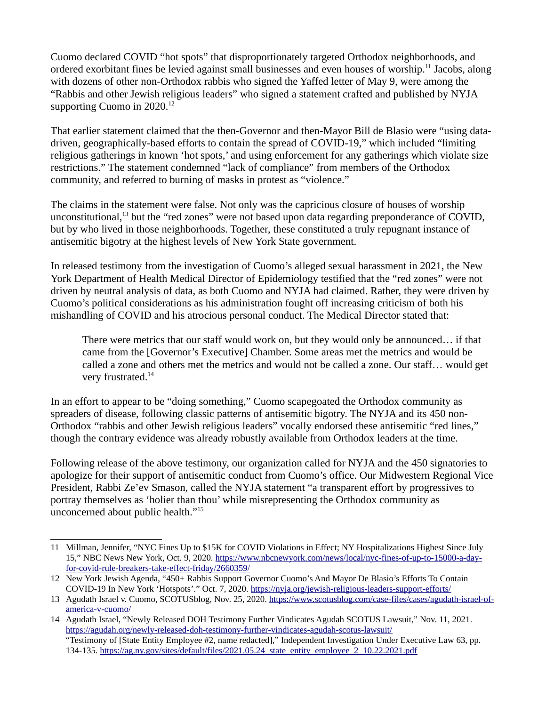Cuomo declared COVID "hot spots" that disproportionately targeted Orthodox neighborhoods, and ordered exorbitant fines be levied against small businesses and even houses of worship.<sup>[11](#page-3-0)</sup> Jacobs, along with dozens of other non-Orthodox rabbis who signed the Yaffed letter of May 9, were among the "Rabbis and other Jewish religious leaders" who signed a statement crafted and published by NYJA supporting Cuomo in  $2020$ <sup>[12](#page-3-1)</sup>

That earlier statement claimed that the then-Governor and then-Mayor Bill de Blasio were "using datadriven, geographically-based efforts to contain the spread of COVID-19," which included "limiting religious gatherings in known 'hot spots,' and using enforcement for any gatherings which violate size restrictions." The statement condemned "lack of compliance" from members of the Orthodox community, and referred to burning of masks in protest as "violence."

The claims in the statement were false. Not only was the capricious closure of houses of worship unconstitutional,<sup>[13](#page-3-2)</sup> but the "red zones" were not based upon data regarding preponderance of COVID, but by who lived in those neighborhoods. Together, these constituted a truly repugnant instance of antisemitic bigotry at the highest levels of New York State government.

In released testimony from the investigation of Cuomo's alleged sexual harassment in 2021, the New York Department of Health Medical Director of Epidemiology testified that the "red zones" were not driven by neutral analysis of data, as both Cuomo and NYJA had claimed. Rather, they were driven by Cuomo's political considerations as his administration fought off increasing criticism of both his mishandling of COVID and his atrocious personal conduct. The Medical Director stated that:

There were metrics that our staff would work on, but they would only be announced… if that came from the [Governor's Executive] Chamber. Some areas met the metrics and would be called a zone and others met the metrics and would not be called a zone. Our staff… would get very frustrated.<sup>[14](#page-3-3)</sup>

In an effort to appear to be "doing something," Cuomo scapegoated the Orthodox community as spreaders of disease, following classic patterns of antisemitic bigotry. The NYJA and its 450 non-Orthodox "rabbis and other Jewish religious leaders" vocally endorsed these antisemitic "red lines," though the contrary evidence was already robustly available from Orthodox leaders at the time.

Following release of the above testimony, our organization called for NYJA and the 450 signatories to apologize for their support of antisemitic conduct from Cuomo's office. Our Midwestern Regional Vice President, Rabbi Ze'ev Smason, called the NYJA statement "a transparent effort by progressives to portray themselves as 'holier than thou' while misrepresenting the Orthodox community as unconcerned about public health."<sup>15</sup>

<span id="page-3-0"></span><sup>11</sup> Millman, Jennifer, "NYC Fines Up to \$15K for COVID Violations in Effect; NY Hospitalizations Highest Since July 15," NBC News New York, Oct. 9, 2020. [https://www.nbcnewyork.com/news/local/nyc-fines-of-up-to-15000-a-day](https://www.nbcnewyork.com/news/local/nyc-fines-of-up-to-15000-a-day-for-covid-rule-breakers-take-effect-friday/2660359/)[for-covid-rule-breakers-take-effect-friday/2660359/](https://www.nbcnewyork.com/news/local/nyc-fines-of-up-to-15000-a-day-for-covid-rule-breakers-take-effect-friday/2660359/)

<span id="page-3-1"></span><sup>12</sup> New York Jewish Agenda, "450+ Rabbis Support Governor Cuomo's And Mayor De Blasio's Efforts To Contain COVID-19 In New York 'Hotspots'." Oct. 7, 2020.<https://nyja.org/jewish-religious-leaders-support-efforts/>

<span id="page-3-2"></span><sup>13</sup> Agudath Israel v. Cuomo, SCOTUSblog, Nov. 25, 2020. [https://www.scotusblog.com/case-files/cases/agudath-israel-of](https://www.scotusblog.com/case-files/cases/agudath-israel-of-america-v-cuomo/)[america-v-cuomo/](https://www.scotusblog.com/case-files/cases/agudath-israel-of-america-v-cuomo/)

<span id="page-3-3"></span><sup>14</sup> Agudath Israel, "Newly Released DOH Testimony Further Vindicates Agudah SCOTUS Lawsuit," Nov. 11, 2021. <https://agudah.org/newly-released-doh-testimony-further-vindicates-agudah-scotus-lawsuit/> "Testimony of [State Entity Employee #2, name redacted]," Independent Investigation Under Executive Law 63, pp. 134-135. [https://ag.ny.gov/sites/default/files/2021.05.24\\_state\\_entity\\_employee\\_2\\_10.22.2021.pdf](https://ag.ny.gov/sites/default/files/2021.05.24_state_entity_employee_2_10.22.2021.pdf)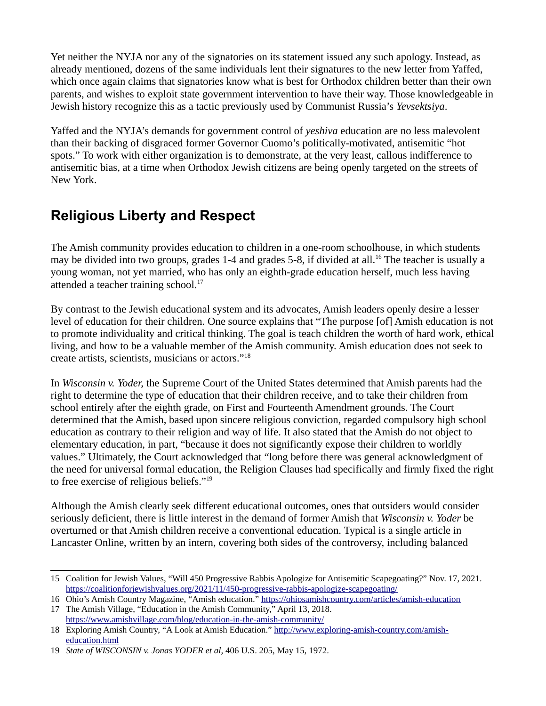Yet neither the NYJA nor any of the signatories on its statement issued any such apology. Instead, as already mentioned, dozens of the same individuals lent their signatures to the new letter from Yaffed, which once again claims that signatories know what is best for Orthodox children better than their own parents, and wishes to exploit state government intervention to have their way. Those knowledgeable in Jewish history recognize this as a tactic previously used by Communist Russia's *Yevsektsiya*.

Yaffed and the NYJA's demands for government control of *yeshiva* education are no less malevolent than their backing of disgraced former Governor Cuomo's politically-motivated, antisemitic "hot spots." To work with either organization is to demonstrate, at the very least, callous indifference to antisemitic bias, at a time when Orthodox Jewish citizens are being openly targeted on the streets of New York.

## **Religious Liberty and Respect**

The Amish community provides education to children in a one-room schoolhouse, in which students may be divided into two groups, grades 1-4 and grades 5-8, if divided at all.<sup>[16](#page-4-0)</sup> The teacher is usually a young woman, not yet married, who has only an eighth-grade education herself, much less having attended a teacher training school.<sup>[17](#page-4-1)</sup>

By contrast to the Jewish educational system and its advocates, Amish leaders openly desire a lesser level of education for their children. One source explains that "The purpose [of] Amish education is not to promote individuality and critical thinking. The goal is teach children the worth of hard work, ethical living, and how to be a valuable member of the Amish community. Amish education does not seek to create artists, scientists, musicians or actors."[18](#page-4-2)

In *Wisconsin v. Yoder,* the Supreme Court of the United States determined that Amish parents had the right to determine the type of education that their children receive, and to take their children from school entirely after the eighth grade, on First and Fourteenth Amendment grounds. The Court determined that the Amish, based upon sincere religious conviction, regarded compulsory high school education as contrary to their religion and way of life. It also stated that the Amish do not object to elementary education, in part, "because it does not significantly expose their children to worldly values." Ultimately, the Court acknowledged that "long before there was general acknowledgment of the need for universal formal education, the Religion Clauses had specifically and firmly fixed the right to free exercise of religious beliefs."[19](#page-4-3)

Although the Amish clearly seek different educational outcomes, ones that outsiders would consider seriously deficient, there is little interest in the demand of former Amish that *Wisconsin v. Yoder* be overturned or that Amish children receive a conventional education. Typical is a single article in Lancaster Online, written by an intern, covering both sides of the controversy, including balanced

<sup>15</sup> Coalition for Jewish Values, "Will 450 Progressive Rabbis Apologize for Antisemitic Scapegoating?" Nov. 17, 2021. <https://coalitionforjewishvalues.org/2021/11/450-progressive-rabbis-apologize-scapegoating/>

<span id="page-4-0"></span><sup>16</sup> Ohio's Amish Country Magazine, "Amish education."<https://ohiosamishcountry.com/articles/amish-education> 17 The Amish Village, "Education in the Amish Community," April 13, 2018.

<span id="page-4-1"></span><https://www.amishvillage.com/blog/education-in-the-amish-community/>

<span id="page-4-2"></span><sup>18</sup> Exploring Amish Country, "A Look at Amish Education." [http://www.exploring-amish-country.com/amish](http://www.exploring-amish-country.com/amish-education.html)[education.html](http://www.exploring-amish-country.com/amish-education.html)

<span id="page-4-3"></span><sup>19</sup> *State of WISCONSIN v. Jonas YODER et al,* 406 U.S. 205, May 15, 1972.